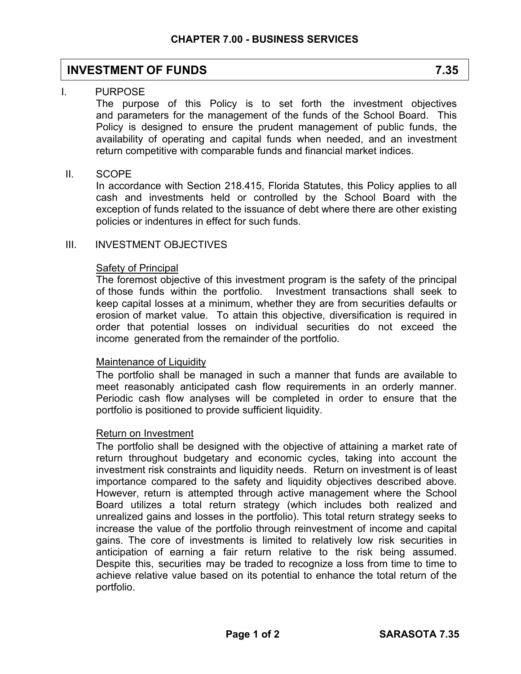# **INVESTMENT OF FUNDS** 7.35

# I. PURPOSE

The purpose of this Policy is to set forth the investment objectives and parameters for the management of the funds of the School Board. This Policy is designed to ensure the prudent management of public funds, the availability of operating and capital funds when needed, and an investment return competitive with comparable funds and financial market indices.

# II. SCOPE

In accordance with Section 218.415, Florida Statutes, this Policy applies to all cash and investments held or controlled by the School Board with the exception of funds related to the issuance of debt where there are other existing policies or indentures in effect for such funds.

# III. INVESTMENT OBJECTIVES

### **Safety of Principal**

The foremost objective of this investment program is the safety of the principal of those funds within the portfolio. Investment transactions shall seek to keep capital losses at a minimum, whether they are from securities defaults or erosion of market value. To attain this objective, diversification is required in order that potential losses on individual securities do not exceed the income generated from the remainder of the portfolio.

# Maintenance of Liquidity

The portfolio shall be managed in such a manner that funds are available to meet reasonably anticipated cash flow requirements in an orderly manner. Periodic cash flow analyses will be completed in order to ensure that the portfolio is positioned to provide sufficient liquidity.

#### Return on Investment

The portfolio shall be designed with the objective of attaining a market rate of return throughout budgetary and economic cycles, taking into account the investment risk constraints and liquidity needs. Return on investment is of least importance compared to the safety and liquidity objectives described above. However, return is attempted through active management where the School Board utilizes a total return strategy (which includes both realized and unrealized gains and losses in the portfolio). This total return strategy seeks to increase the value of the portfolio through reinvestment of income and capital gains. The core of investments is limited to relatively low risk securities in anticipation of earning a fair return relative to the risk being assumed. Despite this, securities may be traded to recognize a loss from time to time to achieve relative value based on its potential to enhance the total return of the portfolio.